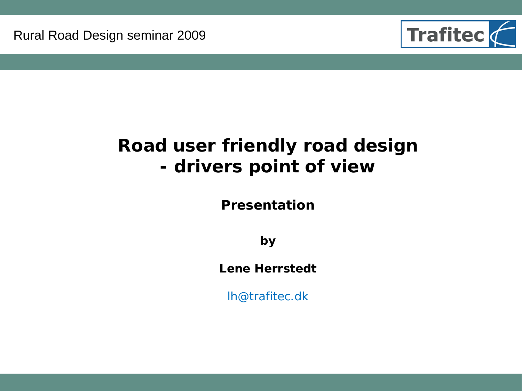Rural Road Design seminar 2009



# *Road user friendly road design - drivers point of view*

**Presentation**

**by**

**Lene Herrstedt**

lh@trafitec.dk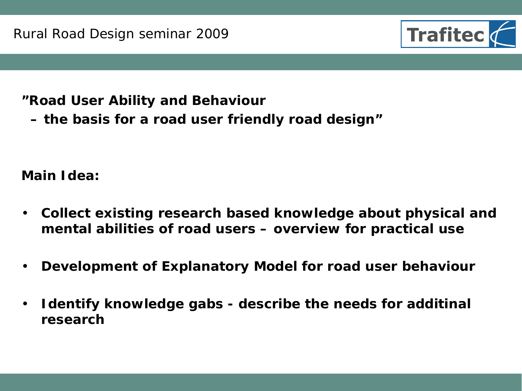

*"Road User Ability and Behaviour* 

*– the basis for a road user friendly road design"*

**Main Idea:**

- **Collect existing research based knowledge about physical and mental abilities of road users – overview for practical use**
- **Development of Explanatory Model for road user behaviour**
- **Identify knowledge gabs - describe the needs for additinal research**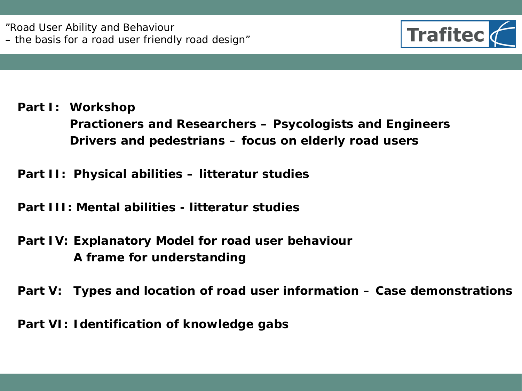"Road User Ability and Behaviour – the basis for a road user friendly road design"



**Part I: Workshop** 

**Practioners and Researchers – Psycologists and Engineers Drivers and pedestrians – focus on elderly road users**

- **Part II: Physical abilities – litteratur studies**
- **Part III: Mental abilities - litteratur studies**
- **Part IV: Explanatory Model for road user behaviour A frame for understanding**
- **Part V: Types and location of road user information – Case demonstrations**
- **Part VI: Identification of knowledge gabs**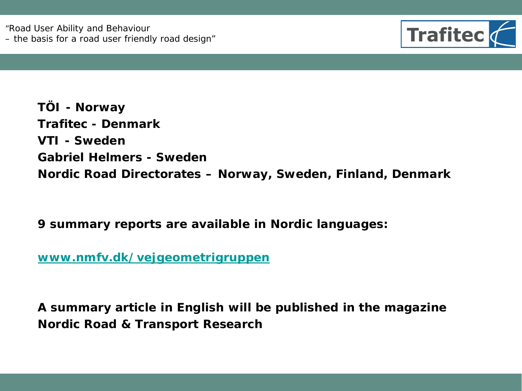"Road User Ability and Behaviour – the basis for a road user friendly road design"



**TÖI - Norway Trafitec - Denmark VTI - Sweden Gabriel Helmers - Sweden Nordic Road Directorates – Norway, Sweden, Finland, Denmark**

**9 summary reports are available in Nordic languages:**

**[www.nmfv.dk/vejgeometrigruppen](http://www.nmfv.dk/vejgeometrigruppen)**

**A summary article in English will be published in the magazine** *Nordic Road & Transport Research*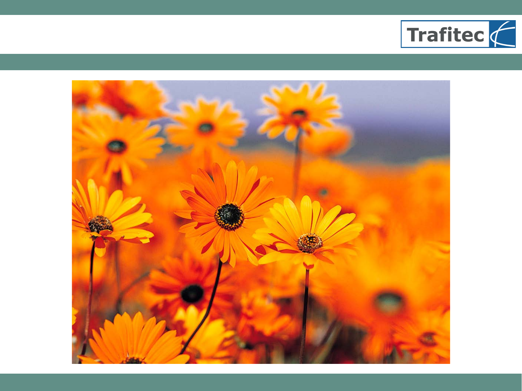

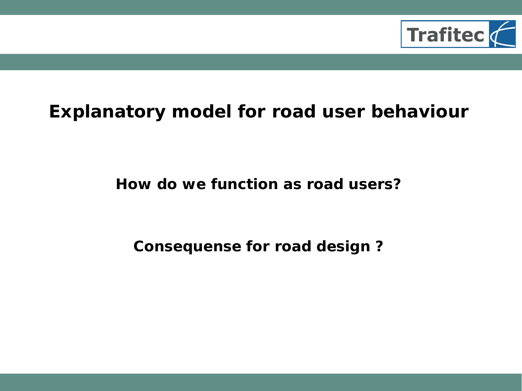

## **Explanatory model for road user behaviour**

**How do we function as road users?**

**Consequense for road design ?**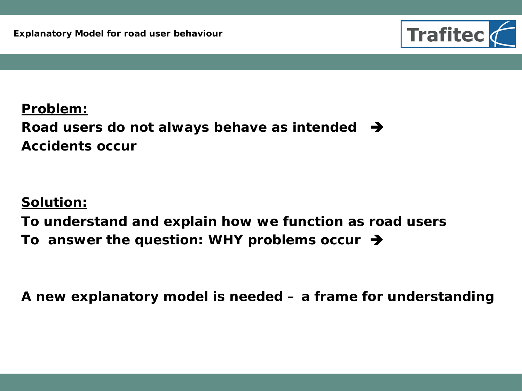**Explanatory Model for road user behaviour**



#### **Problem:**

**Road users do not always behave as intended Accidents occur**

#### **Solution:**

**To understand and explain how we function as road users To answer the question: WHY problems occur** 

**A new explanatory model is needed – a frame for understanding**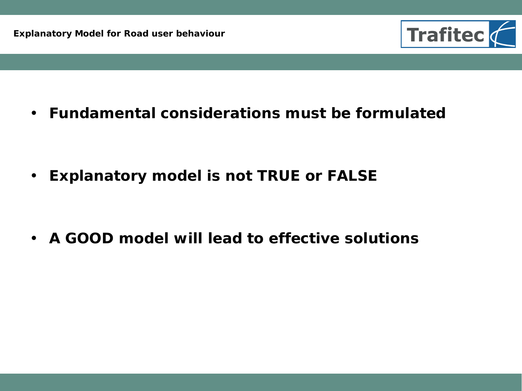**Explanatory Model for Road user behaviour**



• **Fundamental considerations must be formulated**

• **Explanatory model is not TRUE or FALSE**

• **A GOOD model will lead to effective solutions**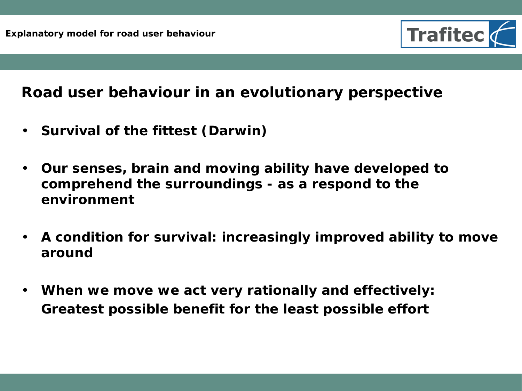

#### **Road user behaviour in an evolutionary perspective**

- **Survival of the fittest (Darwin)**
- **Our senses, brain and moving ability have developed to comprehend the surroundings - as a respond to the environment**
- **A condition for survival: increasingly improved ability to move around**
- **When we move we act very rationally and effectively: Greatest possible benefit for the least possible effort**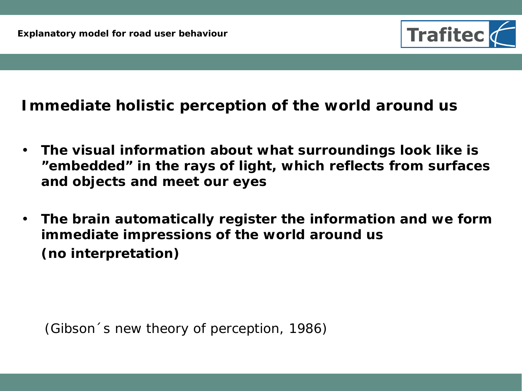### **Immediate holistic perception of the world around us**

• **The visual information about what surroundings look like is "embedded" in the rays of light, which reflects from surfaces and objects and meet our eyes**

**Trafitec** 

• **The brain automatically register the information and we form immediate impressions of the world around us (no interpretation)** 

(Gibson´s new theory of perception, 1986)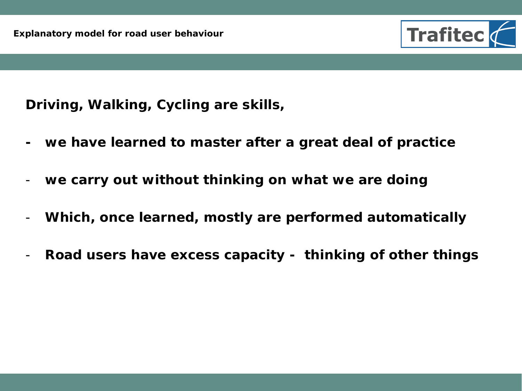

**Driving, Walking, Cycling are skills,**

- **- we have learned to master after a great deal of practice**
- we carry out without thinking on what we are doing
- **Which, once learned, mostly are performed automatically**
- **Road users have excess capacity - thinking of other things**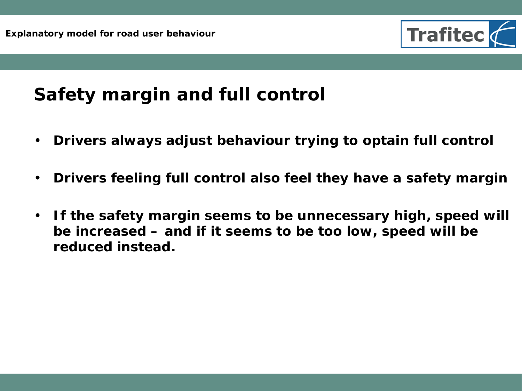

# **Safety margin and full control**

- **Drivers always adjust behaviour trying to optain full control**
- **Drivers feeling full control also feel they have a safety margin**
- **If the safety margin seems to be unnecessary high, speed will be increased – and if it seems to be too low, speed will be reduced instead.**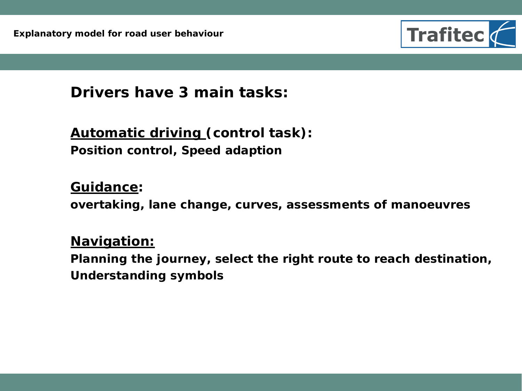**Explanatory model for road user behaviour**



**Drivers have 3 main tasks:**

**Automatic driving (control task): Position control, Speed adaption**

**Guidance:**

**overtaking, lane change, curves, assessments of manoeuvres** 

**Navigation:**

**Planning the journey, select the right route to reach destination, Understanding symbols**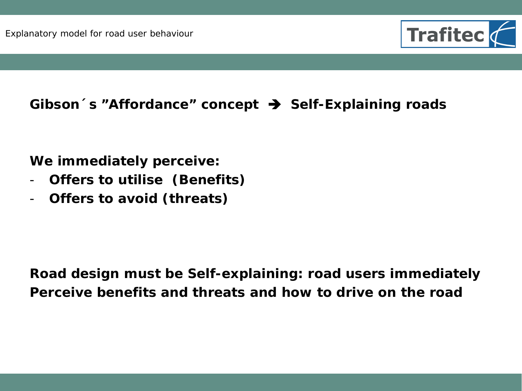Explanatory model for road user behaviour



**Gibson´s "Affordance" concept Self-Explaining roads**

**We immediately perceive:**

- **Offers to utilise (Benefits)**
- **Offers to avoid (threats)**

**Road design must be Self-explaining: road users immediately Perceive benefits and threats and how to drive on the road**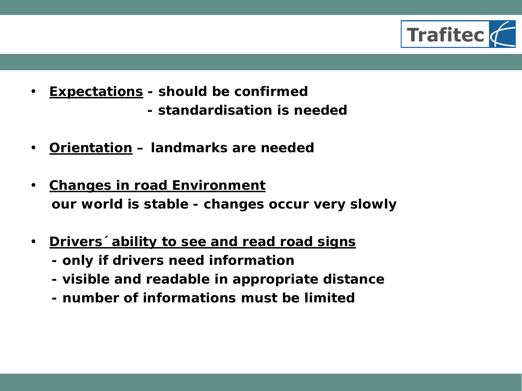

- **Expectations - should be confirmed**
	- **- standardisation is needed**
- **Orientation – landmarks are needed**
- **Changes in road Environment our world is stable - changes occur very slowly**
- **Drivers´ability to see and read road signs** 
	- **- only if drivers need information**
	- **- visible and readable in appropriate distance**
	- **- number of informations must be limited**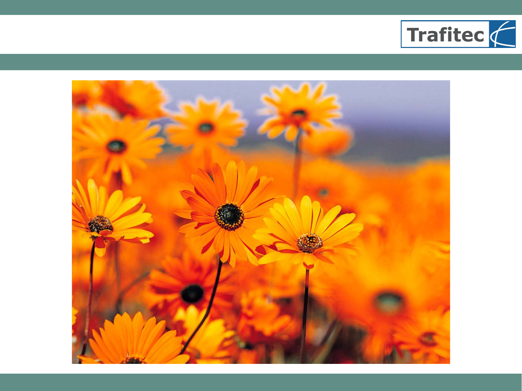

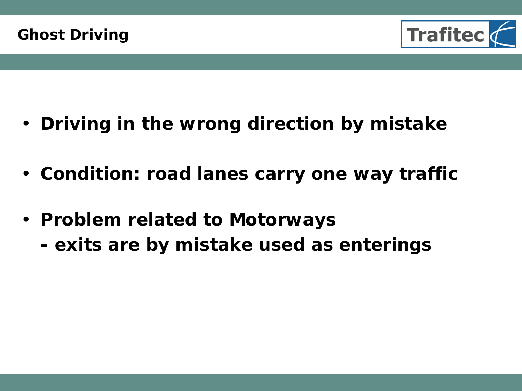

- **Driving in the wrong direction by mistake**
- **Condition: road lanes carry one way traffic**
- **Problem related to Motorways**
	- **- exits are by mistake used as enterings**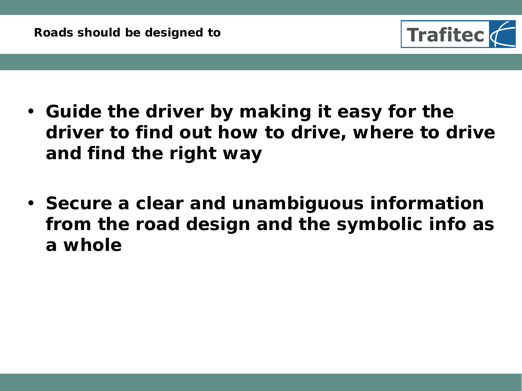

- **Guide the driver by making it easy for the driver to find out how to drive, where to drive and find the right way**
- **Secure a clear and unambiguous information from the road design and the symbolic info as a whole**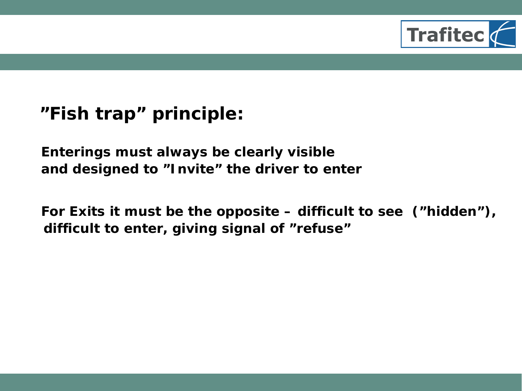

### **"Fish trap" principle:**

**Enterings must always be clearly visible and designed to "Invite" the driver to enter**

**For Exits it must be the opposite – difficult to see ("hidden"), difficult to enter, giving signal of "refuse"**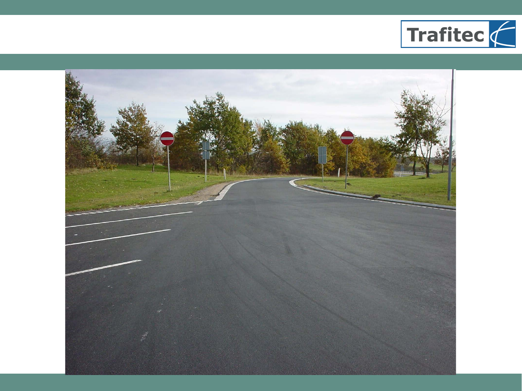

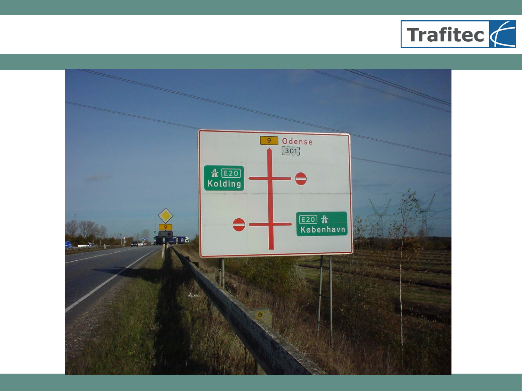

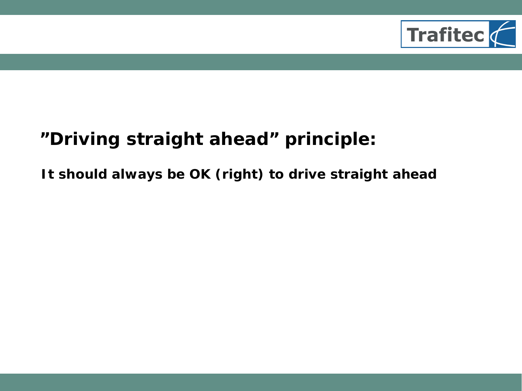

# **"Driving straight ahead" principle:**

#### **It should always be OK (right) to drive straight ahead**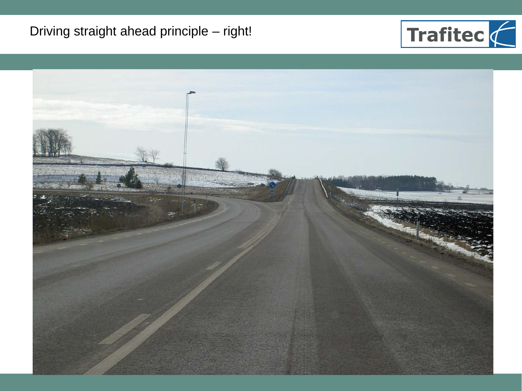#### Driving straight ahead principle - right!



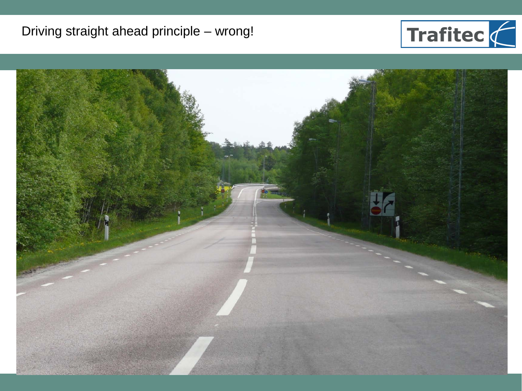#### Driving straight ahead principle – wrong!



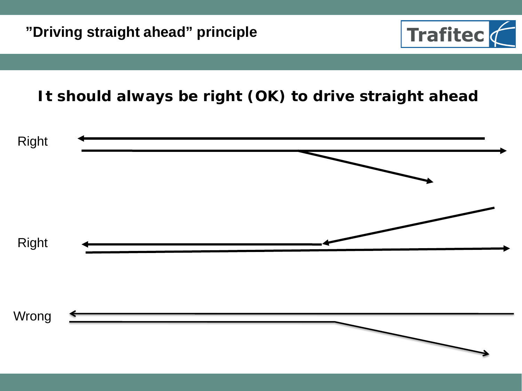

### **It should always be right (OK) to drive straight ahead**

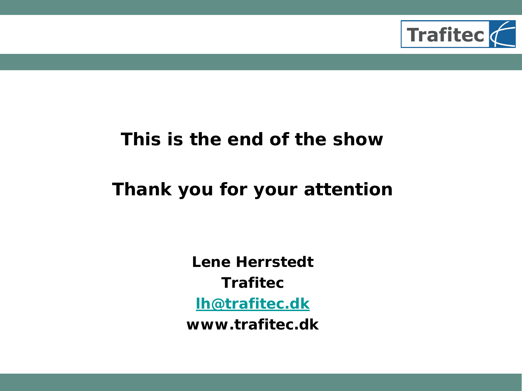

## **This is the end of the show**

# **Thank you for your attention**

**Lene Herrstedt Trafitec [lh@trafitec.dk](mailto:lh@trafitec.dk) www.trafitec.dk**